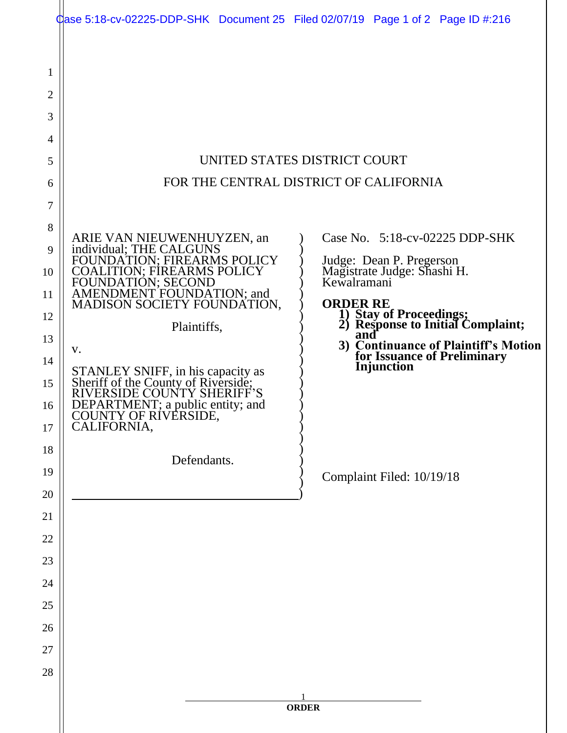|                                                                          | Case 5:18-cv-02225-DDP-SHK Document 25 Filed 02/07/19 Page 1 of 2 Page ID #:216                                                                                                                                                                                                                                                                                                                                                                                                                                                                                                                                                                                                                                                                    |
|--------------------------------------------------------------------------|----------------------------------------------------------------------------------------------------------------------------------------------------------------------------------------------------------------------------------------------------------------------------------------------------------------------------------------------------------------------------------------------------------------------------------------------------------------------------------------------------------------------------------------------------------------------------------------------------------------------------------------------------------------------------------------------------------------------------------------------------|
| 1<br>2<br>3<br>4<br>5<br>6<br>7                                          | UNITED STATES DISTRICT COURT<br>FOR THE CENTRAL DISTRICT OF CALIFORNIA                                                                                                                                                                                                                                                                                                                                                                                                                                                                                                                                                                                                                                                                             |
| 8<br>9<br>10<br>11<br>12<br>13<br>14<br>15<br>16<br>17<br>18<br>19<br>20 | Case No. 5:18-cv-02225 DDP-SHK<br>ARIE VAN NIEUWENHUYZEN, an individual; THE CALGUNS<br>FOUNDATION; FIREARMS POLICY<br>Judge: Dean P. Pregerson<br>Magistrate Judge: Shashi H.<br>Kewalramani<br>COALITION; FIREARMS POLICY<br>FOUNDATION; SECOND<br>AMENDMENT FOUNDATION; and<br>MADISON SOCIETY FOUNDATION,<br><b>ORDER RE</b><br>1) Stay of Proceedings;<br>2) Response to Initial Complaint;<br>Plaintiffs,<br>and<br>3) Continuance of Plaintiff's Motion<br>V.<br>for Issuance of Preliminary<br>Injunction<br>STANLEY SNIFF, in his capacity as<br>Sheriff of the County of Riverside;<br>RIVERSIDE COUNTY SHERIFF'S<br>DEPARTMENT; a public entity; and<br>COUNTY OF RIVERSIDE,<br>CALIFORNIA,<br>Defendants.<br>Complaint Filed: 10/19/18 |
| 21<br>22<br>23<br>24<br>25<br>26<br>27<br>28                             | <b>ORDER</b>                                                                                                                                                                                                                                                                                                                                                                                                                                                                                                                                                                                                                                                                                                                                       |